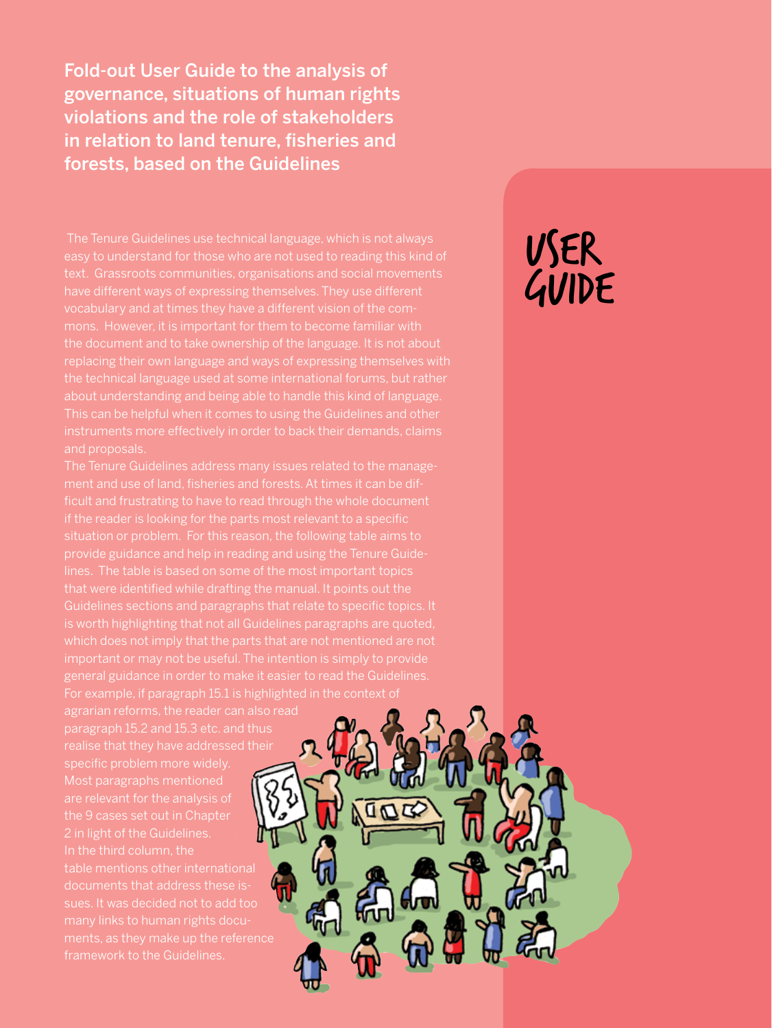Fold-out User Guide to the analysis of governance, situations of human rights violations and the role of stakeholders in relation to land tenure, fisheries and forests, based on the Guidelines

easy to understand for those who are not used to reading this kind of the document and to take ownership of the language. It is not about replacing their own language and ways of expressing themselves with the technical language used at some international forums, but rather about understanding and being able to handle this kind of language. and proposals.

ment and use of land, fisheries and forests. At times it can be difif the reader is looking for the parts most relevant to a specific lines. The table is based on some of the most important topics Guidelines sections and paragraphs that relate to specific topics. It

agrarian reforms, the reader can also read realise that they have addressed their specific problem more widely. are relevant for the analysis of 2 in light of the Guidelines. documents that address these ismany links to human rights docu-

# USER GUIDE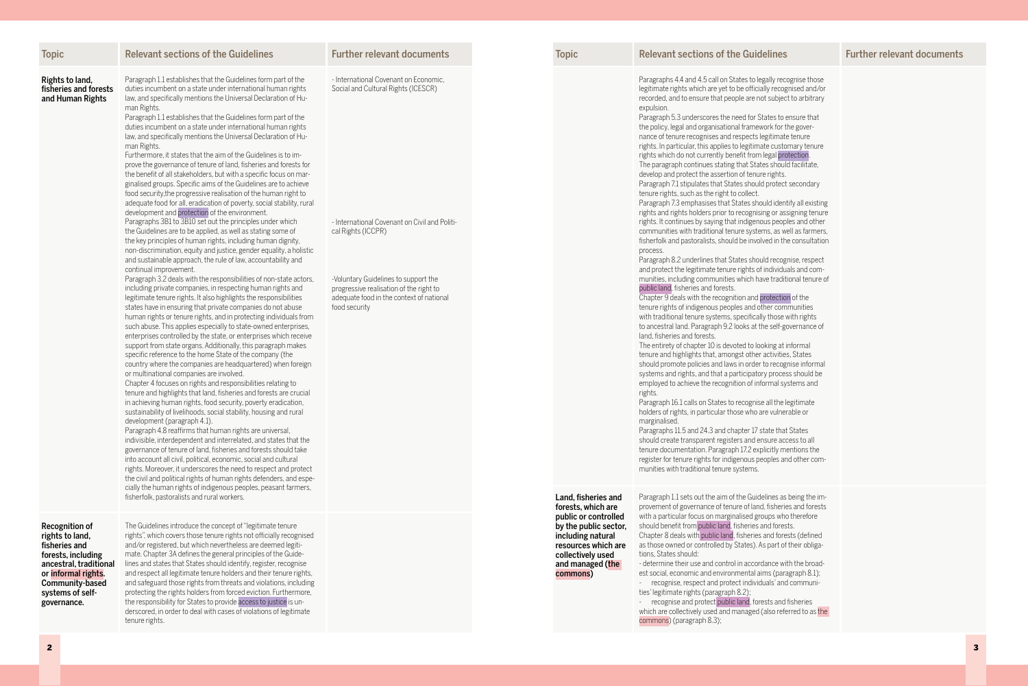| <b>Topic</b>                                                                                                                                                                           | <b>Relevant sections of the Guidelines</b>                                                                                                                                                                                                                                                                                                                                                                                                                                                                                                                                                                                                                                                                                                                                                                                                                                                                                                                                                                                                                                                                                                                                                                                                                                                                                                                                                                                                                                                                                                                                                                                                                                                                                                                                                                                                                                                                                                                                                                                                                                                                                                                                                                                                                                                                                                                                                                                                                                                                                                                                                                                                                                                                                                                                                                                                                             | <b>Further relevant documents</b>                                                                                                                                                                                                                                                                   | <b>Topic</b>                                       |                                                                                          | <b>Relevant sections of the Guidelines</b>                                                                                                                                                                                                                                                                                                                                                                                                                                                                                                                                                                                                                                                                                                                                                                                                                                                                                                                                                                                                                                                                                                                                                                                                                                                                                                                                                                                                                                                                                                                                                                                                                                                                                                                                                                                                                                                                                                                                                                                                                                                                                                                                                                                                                                                                                                                                                                                                                                                                                                                                                                                                                                              |
|----------------------------------------------------------------------------------------------------------------------------------------------------------------------------------------|------------------------------------------------------------------------------------------------------------------------------------------------------------------------------------------------------------------------------------------------------------------------------------------------------------------------------------------------------------------------------------------------------------------------------------------------------------------------------------------------------------------------------------------------------------------------------------------------------------------------------------------------------------------------------------------------------------------------------------------------------------------------------------------------------------------------------------------------------------------------------------------------------------------------------------------------------------------------------------------------------------------------------------------------------------------------------------------------------------------------------------------------------------------------------------------------------------------------------------------------------------------------------------------------------------------------------------------------------------------------------------------------------------------------------------------------------------------------------------------------------------------------------------------------------------------------------------------------------------------------------------------------------------------------------------------------------------------------------------------------------------------------------------------------------------------------------------------------------------------------------------------------------------------------------------------------------------------------------------------------------------------------------------------------------------------------------------------------------------------------------------------------------------------------------------------------------------------------------------------------------------------------------------------------------------------------------------------------------------------------------------------------------------------------------------------------------------------------------------------------------------------------------------------------------------------------------------------------------------------------------------------------------------------------------------------------------------------------------------------------------------------------------------------------------------------------------------------------------------------------|-----------------------------------------------------------------------------------------------------------------------------------------------------------------------------------------------------------------------------------------------------------------------------------------------------|----------------------------------------------------|------------------------------------------------------------------------------------------|-----------------------------------------------------------------------------------------------------------------------------------------------------------------------------------------------------------------------------------------------------------------------------------------------------------------------------------------------------------------------------------------------------------------------------------------------------------------------------------------------------------------------------------------------------------------------------------------------------------------------------------------------------------------------------------------------------------------------------------------------------------------------------------------------------------------------------------------------------------------------------------------------------------------------------------------------------------------------------------------------------------------------------------------------------------------------------------------------------------------------------------------------------------------------------------------------------------------------------------------------------------------------------------------------------------------------------------------------------------------------------------------------------------------------------------------------------------------------------------------------------------------------------------------------------------------------------------------------------------------------------------------------------------------------------------------------------------------------------------------------------------------------------------------------------------------------------------------------------------------------------------------------------------------------------------------------------------------------------------------------------------------------------------------------------------------------------------------------------------------------------------------------------------------------------------------------------------------------------------------------------------------------------------------------------------------------------------------------------------------------------------------------------------------------------------------------------------------------------------------------------------------------------------------------------------------------------------------------------------------------------------------------------------------------------------------|
| Rights to land,<br>fisheries and forests<br>and Human Rights                                                                                                                           | Paragraph 1.1 establishes that the Guidelines form part of the<br>duties incumbent on a state under international human rights<br>law, and specifically mentions the Universal Declaration of Hu-<br>man Rights.<br>Paragraph 1.1 establishes that the Guidelines form part of the<br>duties incumbent on a state under international human rights<br>law, and specifically mentions the Universal Declaration of Hu-<br>man Rights.<br>Furthermore, it states that the aim of the Guidelines is to im-<br>prove the governance of tenure of land, fisheries and forests for<br>the benefit of all stakeholders, but with a specific focus on mar-<br>ginalised groups. Specific aims of the Guidelines are to achieve<br>food security, the progressive realisation of the human right to<br>adequate food for all, eradication of poverty, social stability, rural<br>development and protection of the environment.<br>Paragraphs 3B1 to 3B10 set out the principles under which<br>the Guidelines are to be applied, as well as stating some of<br>the key principles of human rights, including human dignity,<br>non-discrimination, equity and justice, gender equality, a holistic<br>and sustainable approach, the rule of law, accountability and<br>continual improvement.<br>Paragraph 3.2 deals with the responsibilities of non-state actors,<br>including private companies, in respecting human rights and<br>legitimate tenure rights. It also highlights the responsibilities<br>states have in ensuring that private companies do not abuse<br>human rights or tenure rights, and in protecting individuals from<br>such abuse. This applies especially to state-owned enterprises,<br>enterprises controlled by the state, or enterprises which receive<br>support from state organs. Additionally, this paragraph makes<br>specific reference to the home State of the company (the<br>country where the companies are headquartered) when foreign<br>or multinational companies are involved.<br>Chapter 4 focuses on rights and responsibilities relating to<br>tenure and highlights that land, fisheries and forests are crucial<br>in achieving human rights, food security, poverty eradication,<br>sustainability of livelihoods, social stability, housing and rural<br>development (paragraph 4.1).<br>Paragraph 4.8 reaffirms that human rights are universal,<br>indivisible, interdependent and interrelated, and states that the<br>governance of tenure of land, fisheries and forests should take<br>into account all civil, political, economic, social and cultural<br>rights. Moreover, it underscores the need to respect and protect<br>the civil and political rights of human rights defenders, and espe-<br>cially the human rights of indigenous peoples, peasant farmers,<br>fisherfolk, pastoralists and rural workers. | - International Covenant on Economic,<br>Social and Cultural Rights (ICESCR)<br>- International Covenant on Civil and Politi-<br>cal Rights (ICCPR)<br>-Voluntary Guidelines to support the<br>progressive realisation of the right to<br>adequate food in the context of national<br>food security |                                                    | Land, fisheries and<br>forests, which are                                                | Paragraphs 4.4 and 4.5 call on States to legally recognise those<br>legitimate rights which are yet to be officially recognised and/or<br>recorded, and to ensure that people are not subject to arbitrary<br>expulsion.<br>Paragraph 5.3 underscores the need for States to ensure that<br>the policy, legal and organisational framework for the gover-<br>nance of tenure recognises and respects legitimate tenure<br>rights. In particular, this applies to legitimate customary tenure<br>rights which do not currently benefit from legal protection<br>The paragraph continues stating that States should facilitate,<br>develop and protect the assertion of tenure rights.<br>Paragraph 7.1 stipulates that States should protect secondary<br>tenure rights, such as the right to collect.<br>Paragraph 7.3 emphasises that States should identify all existing<br>rights and rights holders prior to recognising or assigning tenure<br>rights. It continues by saying that indigenous peoples and other<br>communities with traditional tenure systems, as well as farmers,<br>fisherfolk and pastoralists, should be involved in the consultation<br>process.<br>Paragraph 8.2 underlines that States should recognise, respect<br>and protect the legitimate tenure rights of individuals and com-<br>munities, including communities which have traditional tenure of<br>public land, fisheries and forests.<br>Chapter 9 deals with the recognition and protection of the<br>tenure rights of indigenous peoples and other communities<br>with traditional tenure systems, specifically those with rights<br>to ancestral land. Paragraph 9.2 looks at the self-governance of<br>land, fisheries and forests.<br>The entirety of chapter 10 is devoted to looking at informal<br>tenure and highlights that, amongst other activities, States<br>should promote policies and laws in order to recognise informal<br>systems and rights, and that a participatory process should be<br>employed to achieve the recognition of informal systems and<br>rights.<br>Paragraph 16.1 calls on States to recognise all the legitimate<br>holders of rights, in particular those who are vulnerable or<br>marginalised.<br>Paragraphs 11.5 and 24.3 and chapter 17 state that States<br>should create transparent registers and ensure access to all<br>tenure documentation. Paragraph 17.2 explicitly mentions the<br>register for tenure rights for indigenous peoples and other com-<br>munities with traditional tenure systems.<br>Paragraph 1.1 sets out the aim of the Guidelines as being the im-<br>provement of governance of tenure of land, fisheries and forests |
| <b>Recognition of</b><br>rights to land,<br>fisheries and<br>forests, including<br>ancestral, traditional<br>or informal rights.<br>Community-based<br>systems of self-<br>governance. | The Guidelines introduce the concept of "legitimate tenure"<br>rights", which covers those tenure rights not officially recognised<br>and/or registered, but which nevertheless are deemed legiti-<br>mate. Chapter 3A defines the general principles of the Guide-<br>lines and states that States should identify, register, recognise<br>and respect all legitimate tenure holders and their tenure rights,<br>and safeguard those rights from threats and violations, including<br>protecting the rights holders from forced eviction. Furthermore,<br>the responsibility for States to provide access to justice is un-<br>derscored, in order to deal with cases of violations of legitimate<br>tenure rights.                                                                                                                                                                                                                                                                                                                                                                                                                                                                                                                                                                                                                                                                                                                                                                                                                                                                                                                                                                                                                                                                                                                                                                                                                                                                                                                                                                                                                                                                                                                                                                                                                                                                                                                                                                                                                                                                                                                                                                                                                                                                                                                                                   |                                                                                                                                                                                                                                                                                                     | including natural<br>collectively used<br>commons) | public or controlled<br>by the public sector,<br>resources which are<br>and managed (the | with a particular focus on marginalised groups who therefore<br>should benefit from public land, fisheries and forests.<br>Chapter 8 deals with public land, fisheries and forests (defined<br>as those owned or controlled by States). As part of their obliga-<br>tions, States should:<br>- determine their use and control in accordance with the broad-<br>est social, economic and environmental aims (paragraph 8.1);<br>recognise, respect and protect individuals' and communi-<br>ties' legitimate rights (paragraph 8.2);<br>recognise and protect public land, forests and fisheries<br>which are collectively used and managed (also referred to as the<br>commons) (paragraph 8.3);                                                                                                                                                                                                                                                                                                                                                                                                                                                                                                                                                                                                                                                                                                                                                                                                                                                                                                                                                                                                                                                                                                                                                                                                                                                                                                                                                                                                                                                                                                                                                                                                                                                                                                                                                                                                                                                                                                                                                                                       |

## Topic Relevant documents Topic Relevant documents Topic Relevant sections of the Guidelines Further relevant documents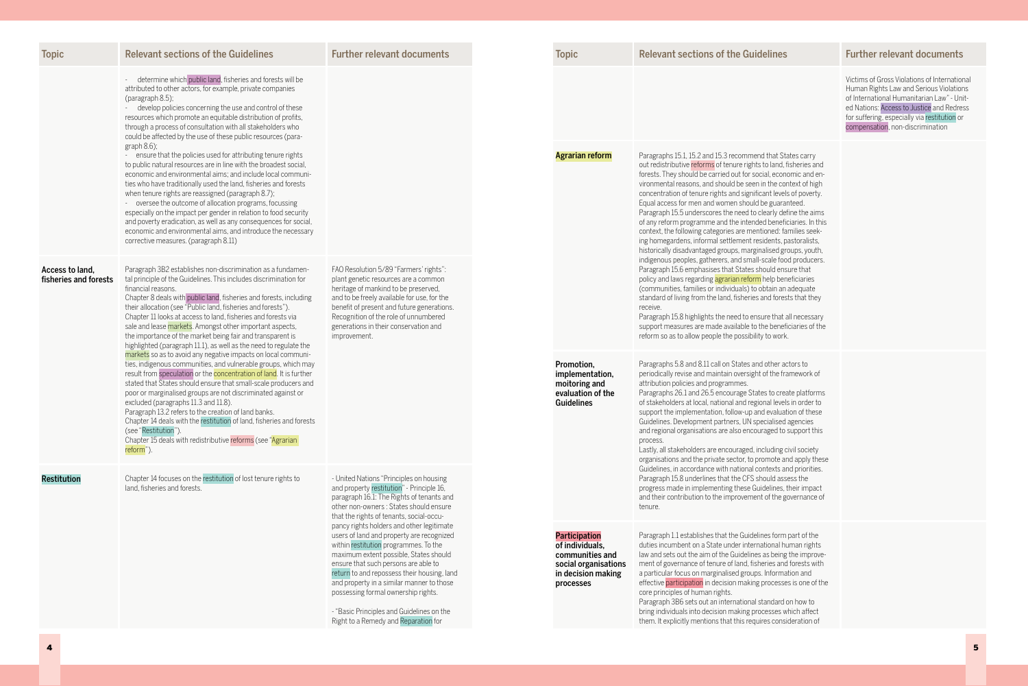| <b>Topic</b>                             | <b>Relevant sections of the Guidelines</b>                                                                                                                                                                                                                                                                                                                                                                                                                                                                                                                                                                                     | <b>Further relevant documents</b>                                                                                                                                                                                                                                                                                                                                                                                                         | <b>Topic</b>                                                                                                                                 | <b>Relevant sections of the Guidelines</b>                                                                                                                                                                                                                                                                                                                                                                                                                                                                                                                       |
|------------------------------------------|--------------------------------------------------------------------------------------------------------------------------------------------------------------------------------------------------------------------------------------------------------------------------------------------------------------------------------------------------------------------------------------------------------------------------------------------------------------------------------------------------------------------------------------------------------------------------------------------------------------------------------|-------------------------------------------------------------------------------------------------------------------------------------------------------------------------------------------------------------------------------------------------------------------------------------------------------------------------------------------------------------------------------------------------------------------------------------------|----------------------------------------------------------------------------------------------------------------------------------------------|------------------------------------------------------------------------------------------------------------------------------------------------------------------------------------------------------------------------------------------------------------------------------------------------------------------------------------------------------------------------------------------------------------------------------------------------------------------------------------------------------------------------------------------------------------------|
|                                          | - determine which public land, fisheries and forests will be<br>attributed to other actors, for example, private companies<br>(paragraph 8.5);<br>develop policies concerning the use and control of these<br>resources which promote an equitable distribution of profits,<br>through a process of consultation with all stakeholders who<br>could be affected by the use of these public resources (para-<br>graph $8.6$ );<br>- ensure that the policies used for attributing tenure rights                                                                                                                                 |                                                                                                                                                                                                                                                                                                                                                                                                                                           |                                                                                                                                              | Paragraphs 15.1, 15.2 and 15.3 recommend that Sta                                                                                                                                                                                                                                                                                                                                                                                                                                                                                                                |
|                                          | to public natural resources are in line with the broadest social,<br>economic and environmental aims; and include local communi-<br>ties who have traditionally used the land, fisheries and forests<br>when tenure rights are reassigned (paragraph 8.7);<br>- oversee the outcome of allocation programs, focussing<br>especially on the impact per gender in relation to food security<br>and poverty eradication, as well as any consequences for social,<br>economic and environmental aims, and introduce the necessary<br>corrective measures. (paragraph 8.11)                                                         |                                                                                                                                                                                                                                                                                                                                                                                                                                           | <b>Agrarian reform</b>                                                                                                                       | out redistributive reforms of tenure rights to land, f<br>forests. They should be carried out for social, econo<br>vironmental reasons, and should be seen in the cor<br>concentration of tenure rights and significant levels<br>Equal access for men and women should be guarar<br>Paragraph 15.5 underscores the need to clearly def<br>of any reform programme and the intended benefic<br>context, the following categories are mentioned: far<br>ing homegardens, informal settlement residents, pa<br>historically disadvantaged groups, marginalised gro |
| Access to land.<br>fisheries and forests | Paragraph 3B2 establishes non-discrimination as a fundamen-<br>tal principle of the Guidelines. This includes discrimination for<br>financial reasons.<br>Chapter 8 deals with public land, fisheries and forests, including<br>their allocation (see "Public land, fisheries and forests").<br>Chapter 11 looks at access to land, fisheries and forests via<br>sale and lease markets. Amongst other important aspects,<br>the importance of the market being fair and transparent is<br>highlighted (paragraph 11.1), as well as the need to regulate the                                                                   | FAO Resolution 5/89 "Farmers' rights":<br>plant genetic resources are a common<br>heritage of mankind to be preserved,<br>and to be freely available for use, for the<br>benefit of present and future generations.<br>Recognition of the role of unnumbered<br>generations in their conservation and<br>improvement.                                                                                                                     |                                                                                                                                              | indigenous peoples, gatherers, and small-scale foo<br>Paragraph 15.6 emphasises that States should ens<br>policy and laws regarding agrarian reform help ben<br>(communities, families or individuals) to obtain an<br>standard of living from the land, fisheries and forest<br>receive.<br>Paragraph 15.8 highlights the need to ensure that a<br>support measures are made available to the benefi<br>reform so as to allow people the possibility to work.                                                                                                   |
|                                          | markets so as to avoid any negative impacts on local communi-<br>ties, indigenous communities, and vulnerable groups, which may<br>result from speculation or the <b>concentration of land</b> . It is further<br>stated that States should ensure that small-scale producers and<br>poor or marginalised groups are not discriminated against or<br>excluded (paragraphs 11.3 and 11.8).<br>Paragraph 13.2 refers to the creation of land banks.<br>Chapter 14 deals with the restitution of land, fisheries and forests<br>(see "Restitution").<br>Chapter 15 deals with redistributive reforms (see "Agrarian"<br>reform"). |                                                                                                                                                                                                                                                                                                                                                                                                                                           | Promotion,<br>implementation,<br>attribution policies and programmes.<br>moitoring and<br>evaluation of the<br><b>Guidelines</b><br>process. | Paragraphs 5.8 and 8.11 call on States and other ac<br>periodically revise and maintain oversight of the fra<br>Paragraphs 26.1 and 26.5 encourage States to crea<br>of stakeholders at local, national and regional levels<br>support the implementation, follow-up and evaluat<br>Guidelines. Development partners, UN specialised<br>and regional organisations are also encouraged to s<br>Lastly, all stakeholders are encouraged, including c<br>organisations and the private sector, to promote are                                                      |
| <b>Restitution</b>                       | Chapter 14 focuses on the restitution of lost tenure rights to<br>land, fisheries and forests.                                                                                                                                                                                                                                                                                                                                                                                                                                                                                                                                 | - United Nations "Principles on housing<br>and property restitution" - Principle 16,<br>paragraph 16.1: The Rights of tenants and<br>other non-owners: States should ensure<br>that the rights of tenants, social-occu-                                                                                                                                                                                                                   |                                                                                                                                              | Guidelines, in accordance with national contexts are<br>Paragraph 15.8 underlines that the CFS should asset<br>progress made in implementing these Guidelines, t<br>and their contribution to the improvement of the go<br>tenure.                                                                                                                                                                                                                                                                                                                               |
|                                          |                                                                                                                                                                                                                                                                                                                                                                                                                                                                                                                                                                                                                                | pancy rights holders and other legitimate<br>users of land and property are recognized<br>within restitution programmes. To the<br>maximum extent possible, States should<br>ensure that such persons are able to<br>return to and repossess their housing, land<br>and property in a similar manner to those<br>possessing formal ownership rights.<br>- "Basic Principles and Guidelines on the<br>Right to a Remedy and Reparation for | <b>Participation</b><br>of individuals,<br>communities and<br>social organisations<br>in decision making<br>processes                        | Paragraph 1.1 establishes that the Guidelines form<br>duties incumbent on a State under international hu<br>law and sets out the aim of the Guidelines as being<br>ment of governance of tenure of land, fisheries and<br>a particular focus on marginalised groups. Informat<br>effective participation in decision making processe<br>core principles of human rights.<br>Paragraph 3B6 sets out an international standard o<br>bring individuals into decision making processes w<br>them. It explicitly mentions that this requires consi-                   |

## es **Further relevant documents**

Victims of Gross Violations of International Human Rights Law and Serious Violations of International Humanitarian Law" - United Nations: Access to Justice and Redress for suffering, especially via restitution or compensation, non-discrimination

States carry d, fisheries and onomic and encontext of high vels of poverty. ranteed. define the aims eficiaries. In this comilies seeki, pastoralists, discores groups, youth, indigenous people.<br>Food producers, ensure that peneficiaries an adequate rests that they

at all necessary neficiaries of the<br>prk.

actors to framework of

reate platforms vels in order to uation of these ed agencies to support this

ng civil society and apply these and priorities. assess the es, their impact e governance of

m part of the human rights ng the improvemd forests with mation and sses is one of the

rd on how to s which affect nsideration of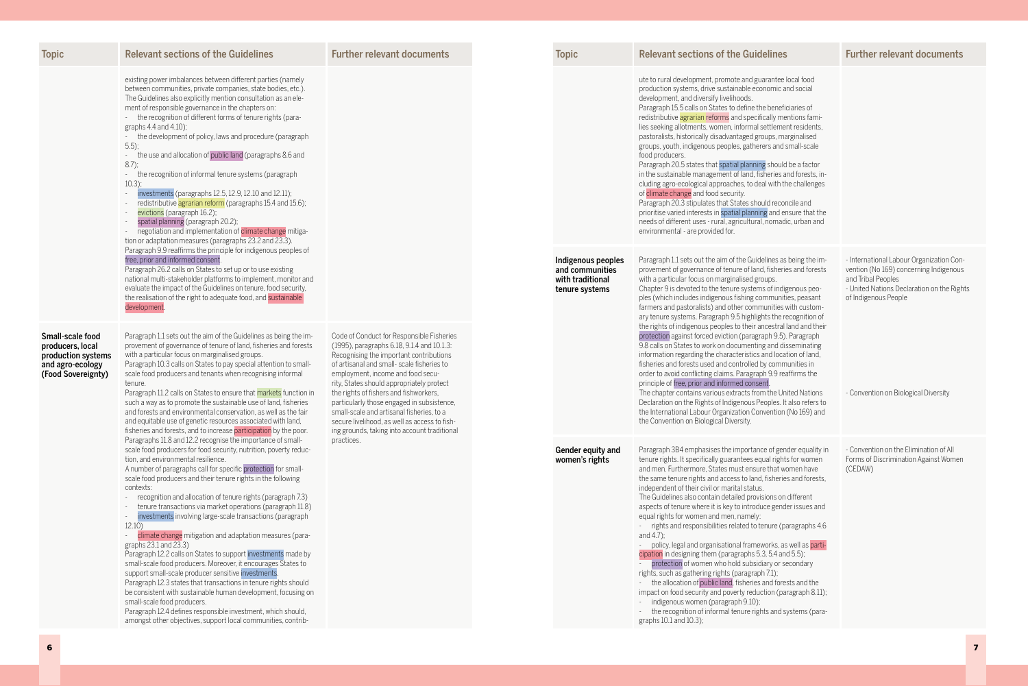| <b>Topic</b>                                                                                         | <b>Relevant sections of the Guidelines</b>                                                                                                                                                                                                                                                                                                                                                                                                                                                                                                                                                                                                                                                                                                                                                                                                                                                                                                                                                                                                                                                                       | <b>Further relevant documents</b>                                                                                                                                                                                                                                               | <b>Topic</b>                                                                | <b>Relevant sections of the Guidelines</b>                                                                                                                                                                                                                                                                                                                                                                                                                                                                                                                                                                                                                                                                                                                                                                                                                                                                                                                                                                                                                                                              | <b>Further relevant documents</b>                                                                                                                                              |
|------------------------------------------------------------------------------------------------------|------------------------------------------------------------------------------------------------------------------------------------------------------------------------------------------------------------------------------------------------------------------------------------------------------------------------------------------------------------------------------------------------------------------------------------------------------------------------------------------------------------------------------------------------------------------------------------------------------------------------------------------------------------------------------------------------------------------------------------------------------------------------------------------------------------------------------------------------------------------------------------------------------------------------------------------------------------------------------------------------------------------------------------------------------------------------------------------------------------------|---------------------------------------------------------------------------------------------------------------------------------------------------------------------------------------------------------------------------------------------------------------------------------|-----------------------------------------------------------------------------|---------------------------------------------------------------------------------------------------------------------------------------------------------------------------------------------------------------------------------------------------------------------------------------------------------------------------------------------------------------------------------------------------------------------------------------------------------------------------------------------------------------------------------------------------------------------------------------------------------------------------------------------------------------------------------------------------------------------------------------------------------------------------------------------------------------------------------------------------------------------------------------------------------------------------------------------------------------------------------------------------------------------------------------------------------------------------------------------------------|--------------------------------------------------------------------------------------------------------------------------------------------------------------------------------|
|                                                                                                      | existing power imbalances between different parties (namely<br>between communities, private companies, state bodies, etc.).<br>The Guidelines also explicitly mention consultation as an ele-<br>ment of responsible governance in the chapters on:<br>- the recognition of different forms of tenure rights (para-<br>graphs 4.4 and 4.10);<br>- the development of policy, laws and procedure (paragraph<br>$5.5$ );<br>the use and allocation of public land (paragraphs 8.6 and<br>$\sim$<br>$8.7$ ;<br>the recognition of informal tenure systems (paragraph<br>$10.3$ ;<br>investments (paragraphs 12.5, 12.9, 12.10 and 12.11);<br>redistributive agrarian reform (paragraphs 15.4 and 15.6);<br>evictions (paragraph 16.2);<br>spatial planning (paragraph 20.2);<br>negotiation and implementation of climate change mitiga-<br>tion or adaptation measures (paragraphs 23.2 and 23.3).                                                                                                                                                                                                                 |                                                                                                                                                                                                                                                                                 |                                                                             | ute to rural development, promote and guarantee local food<br>production systems, drive sustainable economic and social<br>development, and diversify livelihoods.<br>Paragraph 15.5 calls on States to define the beneficiaries of<br>redistributive agrarian reforms and specifically mentions fami-<br>lies seeking allotments, women, informal settlement residents,<br>pastoralists, historically disadvantaged groups, marginalised<br>groups, youth, indigenous peoples, gatherers and small-scale<br>food producers.<br>Paragraph 20.5 states that spatial planning should be a factor<br>in the sustainable management of land, fisheries and forests, in-<br>cluding agro-ecological approaches, to deal with the challenges<br>of climate change and food security.<br>Paragraph 20.3 stipulates that States should reconcile and<br>prioritise varied interests in spatial planning and ensure that the<br>needs of different uses - rural, agricultural, nomadic, urban and<br>environmental - are provided for.                                                                           |                                                                                                                                                                                |
| Small-scale food<br>producers, local<br>production systems<br>and agro-ecology<br>(Food Sovereignty) | Paragraph 9.9 reaffirms the principle for indigenous peoples of<br>free, prior and informed consent<br>Paragraph 26.2 calls on States to set up or to use existing<br>national multi-stakeholder platforms to implement, monitor and<br>evaluate the impact of the Guidelines on tenure, food security,<br>the realisation of the right to adequate food, and sustainable<br>development<br>Paragraph 1.1 sets out the aim of the Guidelines as being the im-<br>provement of governance of tenure of land, fisheries and forests<br>with a particular focus on marginalised groups.<br>Paragraph 10.3 calls on States to pay special attention to small-<br>scale food producers and tenants when recognising informal                                                                                                                                                                                                                                                                                                                                                                                          | Code of Conduct for Responsible Fisheries<br>(1995), paragraphs 6.18, 9.1.4 and 10.1.3:<br>Recognising the important contributions<br>of artisanal and small-scale fisheries to<br>employment, income and food secu-                                                            | Indigenous peoples<br>and communities<br>with traditional<br>tenure systems | Paragraph 1.1 sets out the aim of the Guidelines as being the im-<br>provement of governance of tenure of land, fisheries and forests<br>with a particular focus on marginalised groups.<br>Chapter 9 is devoted to the tenure systems of indigenous peo-<br>ples (which includes indigenous fishing communities, peasant<br>farmers and pastoralists) and other communities with custom-<br>ary tenure systems. Paragraph 9.5 highlights the recognition of<br>the rights of indigenous peoples to their ancestral land and their<br>protection against forced eviction (paragraph 9.5). Paragraph<br>9.8 calls on States to work on documenting and disseminating<br>information regarding the characteristics and location of land<br>fisheries and forests used and controlled by communities in<br>order to avoid conflicting claims. Paragraph 9.9 reaffirms the                                                                                                                                                                                                                                  | - International Labour Organization Con-<br>vention (No 169) concerning Indigenous<br>and Tribal Peoples<br>- United Nations Declaration on the Rights<br>of Indigenous People |
|                                                                                                      | tenure.<br>Paragraph 11.2 calls on States to ensure that markets function in<br>such a way as to promote the sustainable use of land, fisheries<br>and forests and environmental conservation, as well as the fair<br>and equitable use of genetic resources associated with land,<br>fisheries and forests, and to increase participation by the poor.                                                                                                                                                                                                                                                                                                                                                                                                                                                                                                                                                                                                                                                                                                                                                          | rity, States should appropriately protect<br>the rights of fishers and fishworkers,<br>particularly those engaged in subsistence,<br>small-scale and artisanal fisheries, to a<br>secure livelihood, as well as access to fish-<br>ing grounds, taking into account traditional |                                                                             | principle of free, prior and informed consent<br>The chapter contains various extracts from the United Nations<br>Declaration on the Rights of Indigenous Peoples. It also refers to<br>the International Labour Organization Convention (No 169) and<br>the Convention on Biological Diversity.                                                                                                                                                                                                                                                                                                                                                                                                                                                                                                                                                                                                                                                                                                                                                                                                        | - Convention on Biological Diversity                                                                                                                                           |
|                                                                                                      | Paragraphs 11.8 and 12.2 recognise the importance of small-<br>scale food producers for food security, nutrition, poverty reduc-<br>tion, and environmental resilience.<br>A number of paragraphs call for specific protection for small-<br>scale food producers and their tenure rights in the following<br>contexts:<br>- recognition and allocation of tenure rights (paragraph 7.3)<br>- tenure transactions via market operations (paragraph 11.8)<br>investments involving large-scale transactions (paragraph<br>12.10)<br>climate change mitigation and adaptation measures (para-<br>graphs 23.1 and 23.3)<br>Paragraph 12.2 calls on States to support investments made by<br>small-scale food producers. Moreover, it encourages States to<br>support small-scale producer sensitive investments<br>Paragraph 12.3 states that transactions in tenure rights should<br>be consistent with sustainable human development, focusing on<br>small-scale food producers.<br>Paragraph 12.4 defines responsible investment, which should,<br>amongst other objectives, support local communities, contrib- | practices.                                                                                                                                                                                                                                                                      | Gender equity and<br>women's rights                                         | Paragraph 3B4 emphasises the importance of gender equality in<br>tenure rights. It specifically guarantees equal rights for women<br>and men. Furthermore, States must ensure that women have<br>the same tenure rights and access to land, fisheries and forests,<br>independent of their civil or marital status.<br>The Guidelines also contain detailed provisions on different<br>aspects of tenure where it is key to introduce gender issues and<br>equal rights for women and men, namely:<br>- rights and responsibilities related to tenure (paragraphs 4.6<br>and $4.7$ :<br>policy, legal and organisational frameworks, as well as parti-<br>cipation in designing them (paragraphs 5.3, 5.4 and 5.5);<br>protection of women who hold subsidiary or secondary<br>rights, such as gathering rights (paragraph 7.1);<br>the allocation of public land, fisheries and forests and the<br>impact on food security and poverty reduction (paragraph 8.11);<br>- indigenous women (paragraph 9.10);<br>- the recognition of informal tenure rights and systems (para-<br>graphs 10.1 and 10.3); | - Convention on the Elimination of All<br>Forms of Discrimination Against Women<br>(CEDAW)                                                                                     |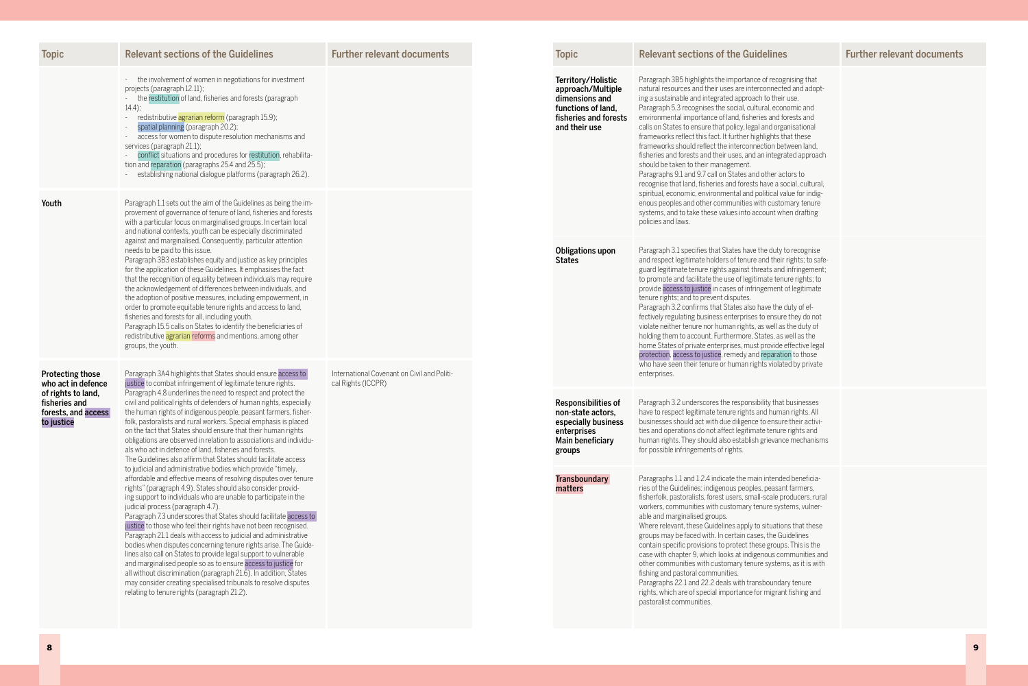| <b>Topic</b>                                                        | <b>Relevant sections of the Guidelines</b>                                                                                                                                                                                                                                                                                                                                                                                                                                                                                                                                                                                                                                                                                                                                                                                                                                                                         | <b>Further relevant documents</b>                                 |              | <b>Topic</b>                                                                                                                                                                                                                                                                                                                                                                                                                                                                                                                                                                                                                                                                                                                                                                                                                                                                                                                                                                                                                                                                                                                                       | <b>Relevant sections of the Guidelines</b>                                                                                                                                                                                                                                                                                                                                                                                                                                                                                                                                                                                                                                                                                                                                                                                                      |
|---------------------------------------------------------------------|--------------------------------------------------------------------------------------------------------------------------------------------------------------------------------------------------------------------------------------------------------------------------------------------------------------------------------------------------------------------------------------------------------------------------------------------------------------------------------------------------------------------------------------------------------------------------------------------------------------------------------------------------------------------------------------------------------------------------------------------------------------------------------------------------------------------------------------------------------------------------------------------------------------------|-------------------------------------------------------------------|--------------|----------------------------------------------------------------------------------------------------------------------------------------------------------------------------------------------------------------------------------------------------------------------------------------------------------------------------------------------------------------------------------------------------------------------------------------------------------------------------------------------------------------------------------------------------------------------------------------------------------------------------------------------------------------------------------------------------------------------------------------------------------------------------------------------------------------------------------------------------------------------------------------------------------------------------------------------------------------------------------------------------------------------------------------------------------------------------------------------------------------------------------------------------|-------------------------------------------------------------------------------------------------------------------------------------------------------------------------------------------------------------------------------------------------------------------------------------------------------------------------------------------------------------------------------------------------------------------------------------------------------------------------------------------------------------------------------------------------------------------------------------------------------------------------------------------------------------------------------------------------------------------------------------------------------------------------------------------------------------------------------------------------|
|                                                                     | - the involvement of women in negotiations for investment<br>projects (paragraph 12.11);<br>the restitution of land, fisheries and forests (paragraph<br>$14.4$ ;<br>redistributive agrarian reform (paragraph 15.9);<br>spatial planning (paragraph 20.2);<br>access for women to dispute resolution mechanisms and<br>services (paragraph 21.1);<br>conflict situations and procedures for restitution, rehabilita-<br>tion and reparation (paragraphs 25.4 and 25.5);<br>establishing national dialogue platforms (paragraph 26.2).                                                                                                                                                                                                                                                                                                                                                                             |                                                                   |              | Territory/Holistic<br>Paragraph 3B5 highlights the importance of recognising that<br>natural resources and their uses are interconnected and adopt-<br>approach/Multiple<br>ing a sustainable and integrated approach to their use.<br>dimensions and<br>Paragraph 5.3 recognises the social, cultural, economic and<br>functions of land,<br>fisheries and forests<br>environmental importance of land, fisheries and forests and<br>calls on States to ensure that policy, legal and organisational<br>and their use<br>frameworks reflect this fact. It further highlights that these<br>frameworks should reflect the interconnection between land,<br>fisheries and forests and their uses, and an integrated approach<br>should be taken to their management.<br>Paragraphs 9.1 and 9.7 call on States and other actors to<br>recognise that land, fisheries and forests have a social, cultural,<br>spiritual, economic, environmental and political value for indig-<br>policies and laws.<br>Obligations upon<br><b>States</b><br>tenure rights; and to prevent disputes.<br>Paragraph 3.2 confirms that States also have the duty of ef- |                                                                                                                                                                                                                                                                                                                                                                                                                                                                                                                                                                                                                                                                                                                                                                                                                                                 |
| Youth                                                               | Paragraph 1.1 sets out the aim of the Guidelines as being the im-<br>provement of governance of tenure of land, fisheries and forests<br>with a particular focus on marginalised groups. In certain local<br>and national contexts, youth can be especially discriminated                                                                                                                                                                                                                                                                                                                                                                                                                                                                                                                                                                                                                                          |                                                                   |              |                                                                                                                                                                                                                                                                                                                                                                                                                                                                                                                                                                                                                                                                                                                                                                                                                                                                                                                                                                                                                                                                                                                                                    | enous peoples and other communities with customary tenure<br>systems, and to take these values into account when drafting                                                                                                                                                                                                                                                                                                                                                                                                                                                                                                                                                                                                                                                                                                                       |
|                                                                     | against and marginalised. Consequently, particular attention<br>needs to be paid to this issue.<br>Paragraph 3B3 establishes equity and justice as key principles<br>for the application of these Guidelines. It emphasises the fact<br>that the recognition of equality between individuals may require<br>the acknowledgement of differences between individuals, and<br>the adoption of positive measures, including empowerment, in<br>order to promote equitable tenure rights and access to land,<br>fisheries and forests for all, including youth.<br>Paragraph 15.5 calls on States to identify the beneficiaries of<br>redistributive agrarian reforms and mentions, among other<br>groups, the youth.                                                                                                                                                                                                   |                                                                   |              |                                                                                                                                                                                                                                                                                                                                                                                                                                                                                                                                                                                                                                                                                                                                                                                                                                                                                                                                                                                                                                                                                                                                                    | Paragraph 3.1 specifies that States have the duty to recognise<br>and respect legitimate holders of tenure and their rights; to safe-<br>guard legitimate tenure rights against threats and infringement;<br>to promote and facilitate the use of legitimate tenure rights; to<br>provide access to justice in cases of infringement of legitimate<br>fectively regulating business enterprises to ensure they do not<br>violate neither tenure nor human rights, as well as the duty of<br>holding them to account. Furthermore, States, as well as the<br>home States of private enterprises, must provide effective legal<br>protection, access to justice, remedy and reparation to those<br>who have seen their tenure or human rights violated by private                                                                                 |
| <b>Protecting those</b><br>who act in defence<br>of rights to land, | Paragraph 3A4 highlights that States should ensure access to<br>justice to combat infringement of legitimate tenure rights.<br>Paragraph 4.8 underlines the need to respect and protect the                                                                                                                                                                                                                                                                                                                                                                                                                                                                                                                                                                                                                                                                                                                        | International Covenant on Civil and Politi-<br>cal Rights (ICCPR) | enterprises. |                                                                                                                                                                                                                                                                                                                                                                                                                                                                                                                                                                                                                                                                                                                                                                                                                                                                                                                                                                                                                                                                                                                                                    |                                                                                                                                                                                                                                                                                                                                                                                                                                                                                                                                                                                                                                                                                                                                                                                                                                                 |
| fisheries and<br>forests, and access<br>to justice                  | civil and political rights of defenders of human rights, especially<br>the human rights of indigenous people, peasant farmers, fisher-<br>folk, pastoralists and rural workers. Special emphasis is placed<br>on the fact that States should ensure that their human rights<br>obligations are observed in relation to associations and individu-<br>als who act in defence of land, fisheries and forests.<br>The Guidelines also affirm that States should facilitate access                                                                                                                                                                                                                                                                                                                                                                                                                                     |                                                                   |              | <b>Responsibilities of</b><br>non-state actors.<br>especially business<br>enterprises<br>Main beneficiary<br>groups                                                                                                                                                                                                                                                                                                                                                                                                                                                                                                                                                                                                                                                                                                                                                                                                                                                                                                                                                                                                                                | Paragraph 3.2 underscores the responsibility that businesses<br>have to respect legitimate tenure rights and human rights. All<br>businesses should act with due diligence to ensure their activi-<br>ties and operations do not affect legitimate tenure rights and<br>human rights. They should also establish grievance mechanisms<br>for possible infringements of rights.                                                                                                                                                                                                                                                                                                                                                                                                                                                                  |
|                                                                     | to judicial and administrative bodies which provide "timely,<br>affordable and effective means of resolving disputes over tenure<br>rights" (paragraph 4.9). States should also consider provid-<br>ing support to individuals who are unable to participate in the<br>judicial process (paragraph 4.7).<br>Paragraph 7.3 underscores that States should facilitate access to<br>justice to those who feel their rights have not been recognised.<br>Paragraph 21.1 deals with access to judicial and administrative<br>bodies when disputes concerning tenure rights arise. The Guide-<br>lines also call on States to provide legal support to vulnerable<br>and marginalised people so as to ensure access to justice for<br>all without discrimination (paragraph 21.6). In addition, States<br>may consider creating specialised tribunals to resolve disputes<br>relating to tenure rights (paragraph 21.2). |                                                                   |              | <b>Transboundary</b><br>matters                                                                                                                                                                                                                                                                                                                                                                                                                                                                                                                                                                                                                                                                                                                                                                                                                                                                                                                                                                                                                                                                                                                    | Paragraphs 1.1 and 1.2.4 indicate the main intended beneficia-<br>ries of the Guidelines: indigenous peoples, peasant farmers,<br>fisherfolk, pastoralists, forest users, small-scale producers, rural<br>workers, communities with customary tenure systems, vulner-<br>able and marginalised groups.<br>Where relevant, these Guidelines apply to situations that these<br>groups may be faced with. In certain cases, the Guidelines<br>contain specific provisions to protect these groups. This is the<br>case with chapter 9, which looks at indigenous communities and<br>other communities with customary tenure systems, as it is with<br>fishing and pastoral communities.<br>Paragraphs 22.1 and 22.2 deals with transboundary tenure<br>rights, which are of special importance for migrant fishing and<br>pastoralist communities. |

Topics of the Guidelines Further relevant documents Topic Relevant sections of the Guidelines Further relevant documents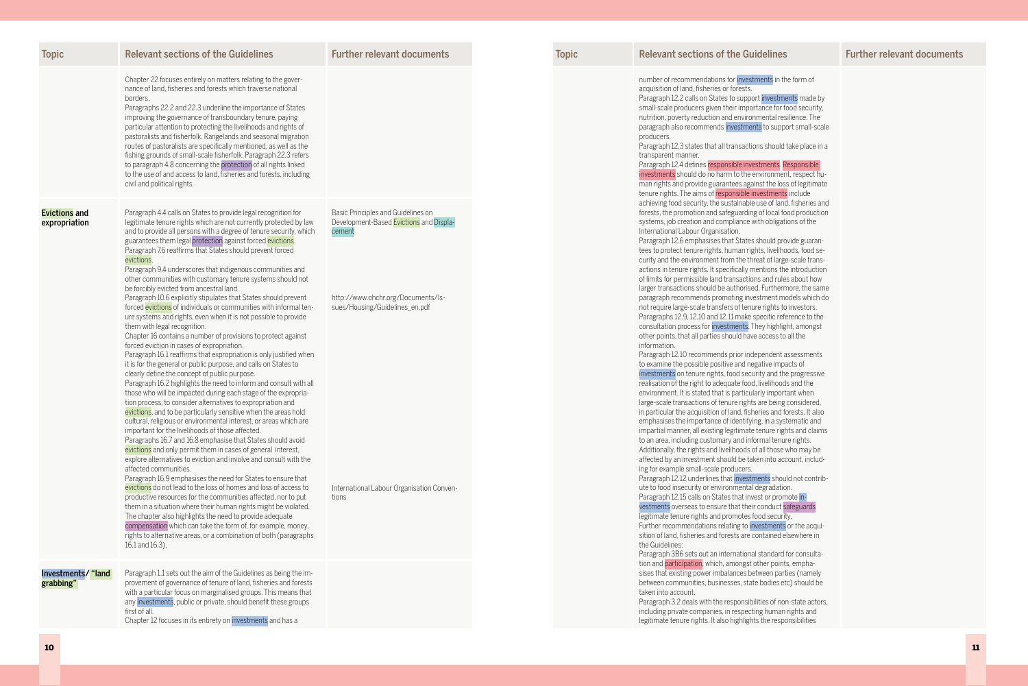| <b>Topic</b>                          | <b>Relevant sections of the Guidelines</b>                                                                                                                                                                                                                                                                                                                                                                                                                                                                                                                                                                                                                                                                                                                                                                                                                                                                                                                                                                                                                                                                                                                                                                                                                                                  | <b>Further relevant documents</b>                                                       | <b>Topic</b> | <b>Relevant sections of the Guidelines</b>                                                                                                                                                                                                                                                                                                                                                                                                                                                                                                                                                                                                                                                                                                                                                                                                                                                                                                                                                                                                                                                                                                                                                                                                                                                                                                               |
|---------------------------------------|---------------------------------------------------------------------------------------------------------------------------------------------------------------------------------------------------------------------------------------------------------------------------------------------------------------------------------------------------------------------------------------------------------------------------------------------------------------------------------------------------------------------------------------------------------------------------------------------------------------------------------------------------------------------------------------------------------------------------------------------------------------------------------------------------------------------------------------------------------------------------------------------------------------------------------------------------------------------------------------------------------------------------------------------------------------------------------------------------------------------------------------------------------------------------------------------------------------------------------------------------------------------------------------------|-----------------------------------------------------------------------------------------|--------------|----------------------------------------------------------------------------------------------------------------------------------------------------------------------------------------------------------------------------------------------------------------------------------------------------------------------------------------------------------------------------------------------------------------------------------------------------------------------------------------------------------------------------------------------------------------------------------------------------------------------------------------------------------------------------------------------------------------------------------------------------------------------------------------------------------------------------------------------------------------------------------------------------------------------------------------------------------------------------------------------------------------------------------------------------------------------------------------------------------------------------------------------------------------------------------------------------------------------------------------------------------------------------------------------------------------------------------------------------------|
|                                       | Chapter 22 focuses entirely on matters relating to the gover-<br>nance of land, fisheries and forests which traverse national<br>borders.<br>Paragraphs 22.2 and 22.3 underline the importance of States<br>improving the governance of transboundary tenure, paying<br>particular attention to protecting the livelihoods and rights of<br>pastoralists and fisherfolk. Rangelands and seasonal migration<br>routes of pastoralists are specifically mentioned, as well as the<br>fishing grounds of small-scale fisherfolk. Paragraph 22.3 refers<br>to paragraph 4.8 concerning the protection of all rights linked<br>to the use of and access to land, fisheries and forests, including<br>civil and political rights.                                                                                                                                                                                                                                                                                                                                                                                                                                                                                                                                                                 |                                                                                         |              | number of recommendations for investments in the form of<br>acquisition of land, fisheries or forests.<br>Paragraph 12.2 calls on States to support investments made by<br>small-scale producers given their importance for food security,<br>nutrition, poverty reduction and environmental resilience. The<br>paragraph also recommends investments to support small-scale<br>producers.<br>Paragraph 12.3 states that all transactions should take place in a<br>transparent manner.<br>Paragraph 12.4 defines responsible investments. Responsible<br>investments should do no harm to the environment, respect hu-<br>man rights and provide guarantees against the loss of legitimate<br>tenure rights. The aims of responsible investments include                                                                                                                                                                                                                                                                                                                                                                                                                                                                                                                                                                                                |
| <b>Evictions and</b><br>expropriation | Paragraph 4.4 calls on States to provide legal recognition for<br>legitimate tenure rights which are not currently protected by law<br>and to provide all persons with a degree of tenure security, which<br>guarantees them legal protection against forced evictions.<br>Paragraph 7.6 reaffirms that States should prevent forced<br>evictions.<br>Paragraph 9.4 underscores that indigenous communities and<br>other communities with customary tenure systems should not                                                                                                                                                                                                                                                                                                                                                                                                                                                                                                                                                                                                                                                                                                                                                                                                               | Basic Principles and Guidelines on<br>Development-Based Evictions and Displa-<br>cement |              | achieving food security, the sustainable use of land, fisheries and<br>forests, the promotion and safeguarding of local food production<br>systems, job creation and compliance with obligations of the<br>International Labour Organisation.<br>Paragraph 12.6 emphasises that States should provide guaran-<br>tees to protect tenure rights, human rights, livelihoods, food se-<br>curity and the environment from the threat of large-scale trans-<br>actions in tenure rights. It specifically mentions the introduction<br>of limits for permissible land transactions and rules about how                                                                                                                                                                                                                                                                                                                                                                                                                                                                                                                                                                                                                                                                                                                                                        |
|                                       | be forcibly evicted from ancestral land.<br>Paragraph 10.6 explicitly stipulates that States should prevent<br>forced evictions of individuals or communities with informal ten-<br>ure systems and rights, even when it is not possible to provide<br>them with legal recognition.<br>Chapter 16 contains a number of provisions to protect against<br>forced eviction in cases of expropriation.<br>Paragraph 16.1 reaffirms that expropriation is only justified when<br>it is for the general or public purpose, and calls on States to<br>clearly define the concept of public purpose.<br>Paragraph 16.2 highlights the need to inform and consult with all<br>those who will be impacted during each stage of the expropria-<br>tion process, to consider alternatives to expropriation and<br>evictions, and to be particularly sensitive when the areas hold<br>cultural, religious or environmental interest, or areas which are<br>important for the livelihoods of those affected.<br>Paragraphs 16.7 and 16.8 emphasise that States should avoid<br>evictions and only permit them in cases of general interest,<br>explore alternatives to eviction and involve and consult with the<br>affected communities.<br>Paragraph 16.9 emphasises the need for States to ensure that | http://www.ohchr.org/Documents/Is-<br>sues/Housing/Guidelines_en.pdf                    |              | larger transactions should be authorised. Furthermore, the same<br>paragraph recommends promoting investment models which do<br>not require large-scale transfers of tenure rights to investors.<br>Paragraphs 12.9, 12.10 and 12.11 make specific reference to the<br>consultation process for investments. They highlight, amongst<br>other points, that all parties should have access to all the<br>information.<br>Paragraph 12.10 recommends prior independent assessments<br>to examine the possible positive and negative impacts of<br>investments on tenure rights, food security and the progressive<br>realisation of the right to adequate food, livelihoods and the<br>environment. It is stated that is particularly important when<br>large-scale transactions of tenure rights are being considered,<br>in particular the acquisition of land, fisheries and forests. It also<br>emphasises the importance of identifying, in a systematic and<br>impartial manner, all existing legitimate tenure rights and claims<br>to an area, including customary and informal tenure rights.<br>Additionally, the rights and livelihoods of all those who may be<br>affected by an investment should be taken into account, includ-<br>ing for example small-scale producers.<br>Paragraph 12.12 underlines that investments should not contrib- |
|                                       | evictions do not lead to the loss of homes and loss of access to<br>productive resources for the communities affected, nor to put<br>them in a situation where their human rights might be violated.<br>The chapter also highlights the need to provide adequate<br>compensation which can take the form of, for example, money,<br>rights to alternative areas, or a combination of both (paragraphs<br>16.1 and 16.3).                                                                                                                                                                                                                                                                                                                                                                                                                                                                                                                                                                                                                                                                                                                                                                                                                                                                    | International Labour Organisation Conven-<br>tions                                      |              | ute to food insecurity or environmental degradation.<br>Paragraph 12.15 calls on States that invest or promote in-<br>vestments overseas to ensure that their conduct safeguards<br>legitimate tenure rights and promotes food security.<br>Further recommendations relating to investments or the acqui-<br>sition of land, fisheries and forests are contained elsewhere in<br>the Guidelines:<br>Paragraph 3B6 sets out an international standard for consulta-                                                                                                                                                                                                                                                                                                                                                                                                                                                                                                                                                                                                                                                                                                                                                                                                                                                                                       |
| Investments/ "land<br>grabbing"       | Paragraph 1.1 sets out the aim of the Guidelines as being the im-<br>provement of governance of tenure of land, fisheries and forests<br>with a particular focus on marginalised groups. This means that<br>any investments, public or private, should benefit these groups<br>first of all.<br>Chapter 12 focuses in its entirety on investments and has a                                                                                                                                                                                                                                                                                                                                                                                                                                                                                                                                                                                                                                                                                                                                                                                                                                                                                                                                 |                                                                                         |              | tion and participation, which, amongst other points, empha-<br>sises that existing power imbalances between parties (namely<br>between communities, businesses, state bodies etc) should be<br>taken into account.<br>Paragraph 3.2 deals with the responsibilities of non-state actors,<br>including private companies, in respecting human rights and<br>legitimate tenure rights. It also highlights the responsibilities                                                                                                                                                                                                                                                                                                                                                                                                                                                                                                                                                                                                                                                                                                                                                                                                                                                                                                                             |

### Guidelines **Topic Relevant Sections Contracts** Topic Relevant documents **Topic Relevant** sections of the Guidelines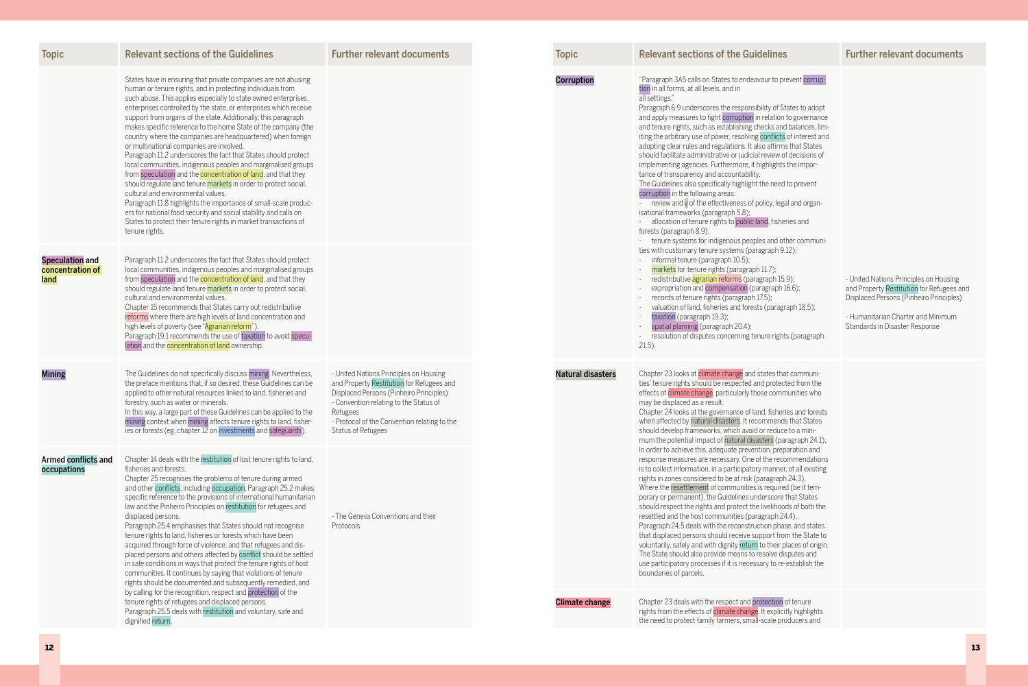## es Turther relevant documents Topic Relevant sections  $F$ urther relevant documents

### o prevent corrup-

f States to adopt ion to governance and balances, limicts of interest and irms that States v of decisions of hts the impor-

eed to prevent

egal and organ-

heries and

d other communi $h(9.12);$ 

,<br>15.9); ph  $16.6$ );

agraph 18.5);

ights (paragraph

that communitected from the mmunities who

heries and forests ends that States should develop a mini-(paragraph 24.1). In order and recommendations iner, of all existing aph 24.3).  $\mu$ ired (be it tempre that States hoods of both the

 $h(24.4)$ . hase, and states from the State to

ir places of origin. e disputes and re-establish the

on of tenure licitly highlights producers and

| <b>Relevant sections of the Guidelines</b>                                                                                                                                                                                                                                                                                                                                                                                                                                                                                                                                                                                                                                                                                                                                                                                                                                                                                                                                                                                                                   | <b>Further relevant documents</b>                                                                                                                                                                                                                          | <b>Topic</b>             | <b>Relevant sections of the Guideline</b>                                                                                                                                                                                                                                                                                                                                                                                                                                                                                                                                                                                                                                                                                                                                                                                                                                                |
|--------------------------------------------------------------------------------------------------------------------------------------------------------------------------------------------------------------------------------------------------------------------------------------------------------------------------------------------------------------------------------------------------------------------------------------------------------------------------------------------------------------------------------------------------------------------------------------------------------------------------------------------------------------------------------------------------------------------------------------------------------------------------------------------------------------------------------------------------------------------------------------------------------------------------------------------------------------------------------------------------------------------------------------------------------------|------------------------------------------------------------------------------------------------------------------------------------------------------------------------------------------------------------------------------------------------------------|--------------------------|------------------------------------------------------------------------------------------------------------------------------------------------------------------------------------------------------------------------------------------------------------------------------------------------------------------------------------------------------------------------------------------------------------------------------------------------------------------------------------------------------------------------------------------------------------------------------------------------------------------------------------------------------------------------------------------------------------------------------------------------------------------------------------------------------------------------------------------------------------------------------------------|
| States have in ensuring that private companies are not abusing<br>human or tenure rights, and in protecting individuals from<br>such abuse. This applies especially to state owned enterprises,<br>enterprises controlled by the state, or enterprises which receive<br>support from organs of the state. Additionally, this paragraph<br>makes specific reference to the home State of the company (the<br>country where the companies are headquartered) when foreign<br>or multinational companies are involved.<br>Paragraph 11.2 underscores the fact that States should protect<br>local communities, indigenous peoples and marginalised groups<br>from speculation and the concentration of land, and that they<br>should regulate land tenure markets in order to protect social,<br>cultural and environmental values.<br>Paragraph 11.8 highlights the importance of small-scale produc-<br>ers for national food security and social stability and calls on<br>States to protect their tenure rights in market transactions of<br>tenure rights. |                                                                                                                                                                                                                                                            | <b>Corruption</b>        | "Paragraph 3A5 calls on States to endeavour to<br>tion in all forms, at all levels, and in<br>all settings."<br>Paragraph 6.9 underscores the responsibility of<br>and apply measures to fight corruption in relation<br>and tenure rights, such as establishing checks a<br>iting the arbitrary use of power, resolving conflic<br>adopting clear rules and regulations. It also affir<br>should facilitate administrative or judicial review<br>implementing agencies. Furthermore, it highligh<br>tance of transparency and accountability.<br>The Guidelines also specifically highlight the nee<br>corruption in the following areas:<br>review and v of the effectiveness of policy, le<br>isational frameworks (paragraph 5.8);<br>allocation of tenure rights to public land, fish<br>forests (paragraph 8.9);<br>tenure systems for indigenous peoples and                      |
| Paragraph 11.2 underscores the fact that States should protect<br>local communities, indigenous peoples and marginalised groups<br>from speculation and the concentration of land, and that they<br>should regulate land tenure markets in order to protect social,<br>cultural and environmental values.<br>Chapter 15 recommends that States carry out redistributive<br>reforms where there are high levels of land concentration and<br>high levels of poverty (see "Agrarian reform").<br>Paragraph 19.1 recommends the use of taxation to avoid specu-<br>lation and the concentration of land ownership.                                                                                                                                                                                                                                                                                                                                                                                                                                              |                                                                                                                                                                                                                                                            |                          | ties with customary tenure systems (paragraph<br>informal tenure (paragraph 10.5);<br>markets for tenure rights (paragraph 11.7);<br>redistributive agrarian reforms (paragraph 1<br>expropriation and compensation (paragrap<br>records of tenure rights (paragraph 17.5);<br>valuation of land, fisheries and forests (para<br>taxation (paragraph 19.3);<br>spatial planning (paragraph 20.4);<br>resolution of disputes concerning tenure rig<br>$21.5$ ).                                                                                                                                                                                                                                                                                                                                                                                                                           |
| The Guidelines do not specifically discuss mining. Nevertheless,<br>the preface mentions that, if so desired, these Guidelines can be<br>applied to other natural resources linked to land, fisheries and<br>forestry, such as water or minerals.<br>In this way, a large part of these Guidelines can be applied to the<br>mining context when mining affects tenure rights to land, fisher-<br>ies or forests (eg, chapter 12 on investments and safeguards).                                                                                                                                                                                                                                                                                                                                                                                                                                                                                                                                                                                              | - United Nations Principles on Housing<br>and Property Restitution for Refugees and<br>Displaced Persons (Pinheiro Principles)<br>- Convention relating to the Status of<br>Refugees<br>- Protocol of the Convention relating to the<br>Status of Refugees | <b>Natural disasters</b> | Chapter 23 looks at climate change and states t<br>ties' tenure rights should be respected and prote<br>effects of climate change, particularly those con<br>may be displaced as a result.<br>Chapter 24 looks at the governance of land, fish<br>when affected by natural disasters. It recommer<br>should develop frameworks, which avoid or redu<br>mum the potential impact of natural disasters (p                                                                                                                                                                                                                                                                                                                                                                                                                                                                                  |
| Chapter 14 deals with the restitution of lost tenure rights to land,<br>fisheries and forests.<br>Chapter 25 recognises the problems of tenure during armed<br>and other conflicts, including occupation. Paragraph 25.2 makes<br>specific reference to the provisions of international humanitarian<br>law and the Pinheiro Principles on restitution for refugees and<br>displaced persons.<br>Paragraph 25.4 emphasises that States should not recognise<br>tenure rights to land, fisheries or forests which have been<br>acquired through force of violence, and that refugees and dis-<br>placed persons and others affected by conflict should be settled<br>in safe conditions in ways that protect the tenure rights of host<br>communities. It continues by saying that violations of tenure<br>rights should be documented and subsequently remedied, and<br>by calling for the recognition, respect and protection of the<br>tenure rights of refugees and displaced persons.<br>Paragraph 25.5 deals with restitution and voluntary, safe and   | - The Geneva Conventions and their<br>Protocols                                                                                                                                                                                                            | <b>Climate change</b>    | In order to achieve this, adequate prevention, pr<br>response measures are necessary. One of the re<br>is to collect information, in a participatory mann<br>rights in zones considered to be at risk (paragra<br>Where the resettlement of communities is requi<br>porary or permanent), the Guidelines underscor<br>should respect the rights and protect the livelihe<br>resettled and the host communities (paragraph<br>Paragraph 24.5 deals with the reconstruction ph<br>that displaced persons should receive support f<br>voluntarily, safely and with dignity return to their<br>The State should also provide means to resolve<br>use participatory processes if it is necessary to r<br>boundaries of parcels.<br>Chapter 23 deals with the respect and protectio<br>rights from the effects of climate change. It expl<br>the need to protect family farmers, small-scale p |
|                                                                                                                                                                                                                                                                                                                                                                                                                                                                                                                                                                                                                                                                                                                                                                                                                                                                                                                                                                                                                                                              | dignified return.                                                                                                                                                                                                                                          |                          |                                                                                                                                                                                                                                                                                                                                                                                                                                                                                                                                                                                                                                                                                                                                                                                                                                                                                          |

- United Nations Principles on Housing and Property Restitution for Refugees and Displaced Persons (Pinheiro Principles)

- Humanitarian Charter and Minimum Standards in Disaster Response